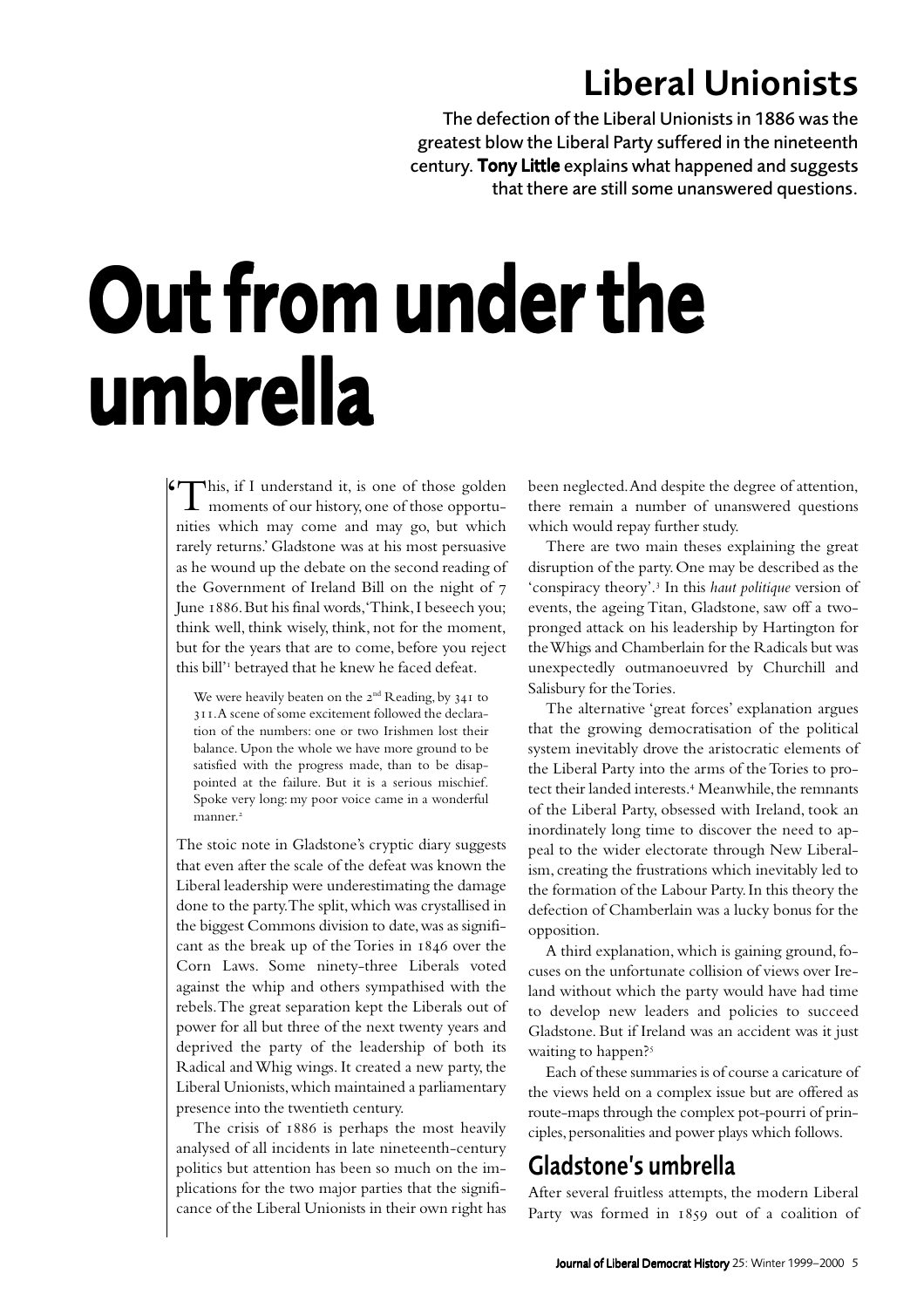# Liberal Unionists

The defection of the Liberal Unionists in 1886 was the greatest blow the Liberal Party suffered in the nineteenth century. Tony Little explains what happened and suggests that there are still some unanswered questions.

# Out from under the umbrella

If This, if I understand it, is one of those golden been neglected. And despite the degree of attention,<br>
there remain a number of unanswered questions<br>
interval the community of unanswered questions nities which may come and may go, but which rarely returns.' Gladstone was at his most persuasive as he wound up the debate on the second reading of the Government of Ireland Bill on the night of June 1886. But his final words, 'Think, I beseech you; think well, think wisely, think, not for the moment, but for the years that are to come, before you reject this bill'<sup>1</sup> betrayed that he knew he faced defeat.

We were heavily beaten on the  $2<sup>nd</sup>$  Reading, by  $34I$  to . A scene of some excitement followed the declaration of the numbers: one or two Irishmen lost their balance. Upon the whole we have more ground to be satisfied with the progress made, than to be disappointed at the failure. But it is a serious mischief. Spoke very long: my poor voice came in a wonderful manner.<sup>2</sup>

The stoic note in Gladstone's cryptic diary suggests that even after the scale of the defeat was known the Liberal leadership were underestimating the damage done to the party. The split, which was crystallised in the biggest Commons division to date, was as significant as the break up of the Tories in  $1846$  over the Corn Laws. Some ninety-three Liberals voted against the whip and others sympathised with the rebels. The great separation kept the Liberals out of power for all but three of the next twenty years and deprived the party of the leadership of both its Radical and Whig wings. It created a new party, the Liberal Unionists, which maintained a parliamentary presence into the twentieth century.

The crisis of  $1886$  is perhaps the most heavily analysed of all incidents in late nineteenth-century politics but attention has been so much on the implications for the two major parties that the significance of the Liberal Unionists in their own right has

there remain a number of unanswered questions which would repay further study.

There are two main theses explaining the great disruption of the party. One may be described as the 'conspiracy theory'. In this *haut politique* version of events, the ageing Titan, Gladstone, saw off a twopronged attack on his leadership by Hartington for the Whigs and Chamberlain for the Radicals but was unexpectedly outmanoeuvred by Churchill and Salisbury for the Tories.

The alternative 'great forces' explanation argues that the growing democratisation of the political system inevitably drove the aristocratic elements of the Liberal Party into the arms of the Tories to protect their landed interests.<sup>4</sup> Meanwhile, the remnants of the Liberal Party, obsessed with Ireland, took an inordinately long time to discover the need to appeal to the wider electorate through New Liberalism, creating the frustrations which inevitably led to the formation of the Labour Party. In this theory the defection of Chamberlain was a lucky bonus for the opposition.

A third explanation, which is gaining ground, focuses on the unfortunate collision of views over Ireland without which the party would have had time to develop new leaders and policies to succeed Gladstone. But if Ireland was an accident was it just waiting to happen?<sup>5</sup>

Each of these summaries is of course a caricature of the views held on a complex issue but are offered as route-maps through the complex pot-pourri of principles, personalities and power plays which follows.

#### Gladstone's umbrella

After several fruitless attempts, the modern Liberal Party was formed in 1859 out of a coalition of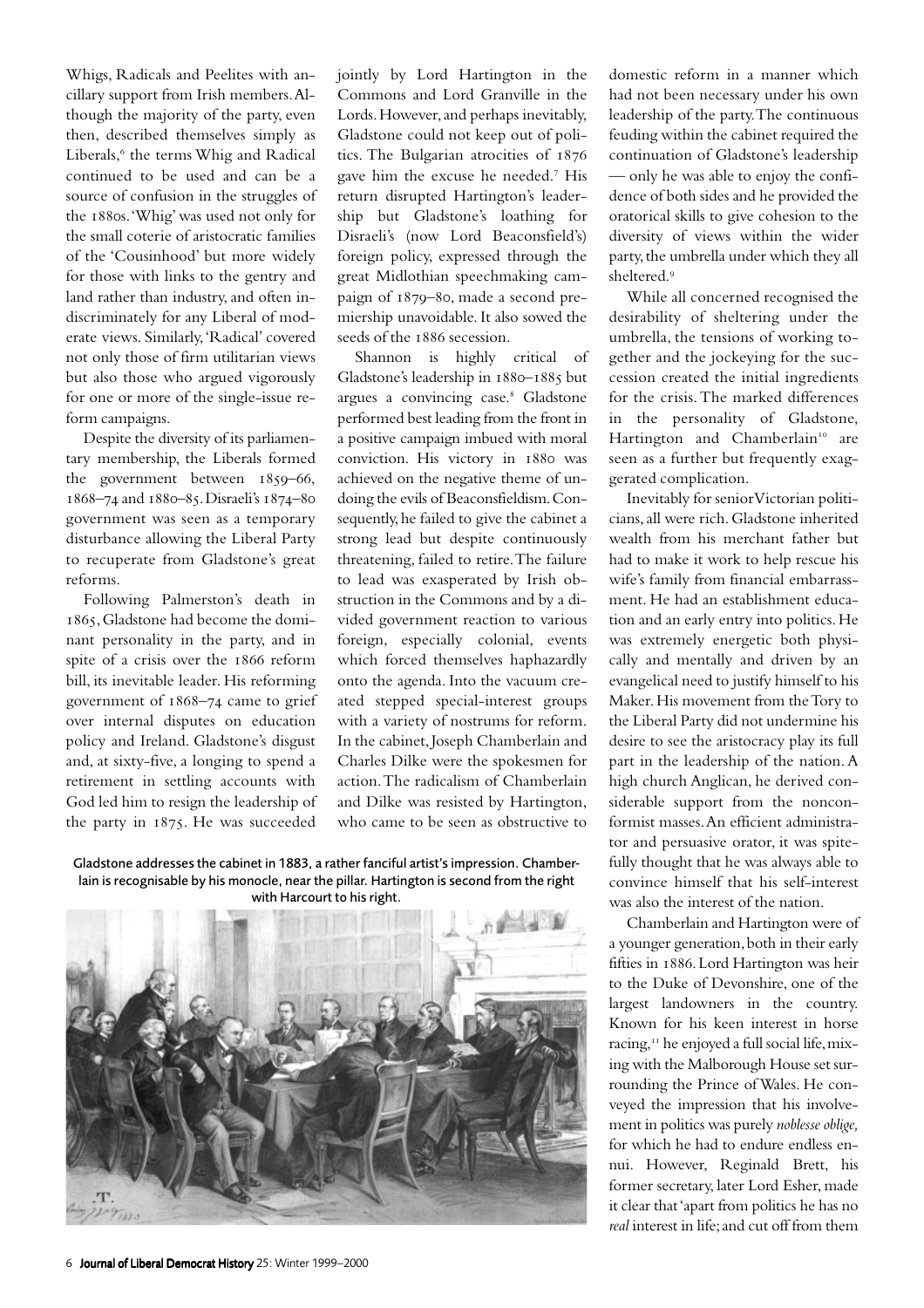Whigs, Radicals and Peelites with ancillary support from Irish members. Although the majority of the party, even then, described themselves simply as Liberals,<sup>6</sup> the terms Whig and Radical continued to be used and can be a source of confusion in the struggles of the 1880s. 'Whig' was used not only for the small coterie of aristocratic families of the 'Cousinhood' but more widely for those with links to the gentry and land rather than industry, and often indiscriminately for any Liberal of moderate views. Similarly, 'Radical' covered not only those of firm utilitarian views but also those who argued vigorously for one or more of the single-issue reform campaigns.

Despite the diversity of its parliamentary membership, the Liberals formed the government between  $1859-66$ , 1868-74 and 1880-85. Disraeli's 1874-80 government was seen as a temporary disturbance allowing the Liberal Party to recuperate from Gladstone's great reforms.

Following Palmerston's death in , Gladstone had become the dominant personality in the party, and in spite of a crisis over the 1866 reform bill, its inevitable leader. His reforming government of  $1868 - 74$  came to grief over internal disputes on education policy and Ireland. Gladstone's disgust and, at sixty-five, a longing to spend a retirement in settling accounts with God led him to resign the leadership of the party in 1875. He was succeeded

jointly by Lord Hartington in the Commons and Lord Granville in the Lords. However, and perhaps inevitably, Gladstone could not keep out of politics. The Bulgarian atrocities of gave him the excuse he needed.<sup>7</sup> His return disrupted Hartington's leadership but Gladstone's loathing for Disraeli's (now Lord Beaconsfield's) foreign policy, expressed through the great Midlothian speechmaking campaign of 1879-80, made a second premiership unavoidable. It also sowed the seeds of the 1886 secession.

Shannon is highly critical of Gladstone's leadership in  $1880 - 1885$  but argues a convincing case.<sup>8</sup> Gladstone performed best leading from the front in a positive campaign imbued with moral conviction. His victory in 1880 was achieved on the negative theme of undoing the evils of Beaconsfieldism. Consequently, he failed to give the cabinet a strong lead but despite continuously threatening, failed to retire. The failure to lead was exasperated by Irish obstruction in the Commons and by a divided government reaction to various foreign, especially colonial, events which forced themselves haphazardly onto the agenda. Into the vacuum created stepped special-interest groups with a variety of nostrums for reform. In the cabinet, Joseph Chamberlain and Charles Dilke were the spokesmen for action. The radicalism of Chamberlain and Dilke was resisted by Hartington, who came to be seen as obstructive to

Gladstone addresses the cabinet in 1883, a rather fanciful artist's impression. Chamberlain is recognisable by his monocle, near the pillar. Hartington is second from the right with Harcourt to his right.



domestic reform in a manner which had not been necessary under his own leadership of the party. The continuous feuding within the cabinet required the continuation of Gladstone's leadership — only he was able to enjoy the confidence of both sides and he provided the oratorical skills to give cohesion to the diversity of views within the wider party, the umbrella under which they all sheltered.

While all concerned recognised the desirability of sheltering under the umbrella, the tensions of working together and the jockeying for the succession created the initial ingredients for the crisis. The marked differences in the personality of Gladstone, Hartington and Chamberlain<sup>10</sup> are seen as a further but frequently exaggerated complication.

Inevitably for senior Victorian politicians, all were rich. Gladstone inherited wealth from his merchant father but had to make it work to help rescue his wife's family from financial embarrassment. He had an establishment education and an early entry into politics. He was extremely energetic both physically and mentally and driven by an evangelical need to justify himself to his Maker. His movement from the Tory to the Liberal Party did not undermine his desire to see the aristocracy play its full part in the leadership of the nation. A high church Anglican, he derived considerable support from the nonconformist masses. An efficient administrator and persuasive orator, it was spitefully thought that he was always able to convince himself that his self-interest was also the interest of the nation.

Chamberlain and Hartington were of a younger generation, both in their early fifties in 1886. Lord Hartington was heir to the Duke of Devonshire, one of the largest landowners in the country. Known for his keen interest in horse racing,<sup>11</sup> he enjoyed a full social life, mixing with the Malborough House set surrounding the Prince of Wales. He conveyed the impression that his involvement in politics was purely *noblesse oblige,* for which he had to endure endless ennui. However, Reginald Brett, his former secretary, later Lord Esher, made it clear that 'apart from politics he has no *real* interest in life; and cut off from them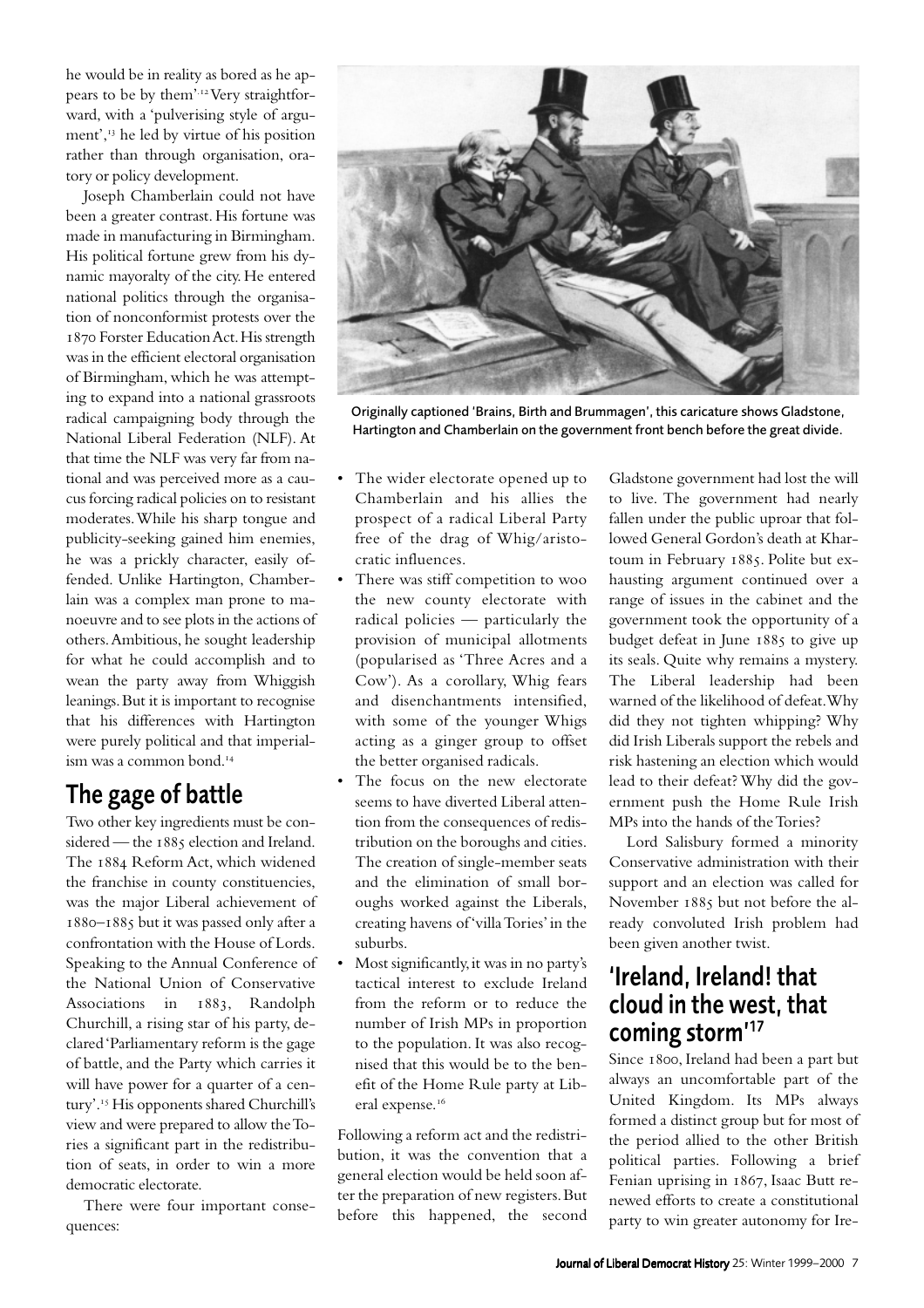he would be in reality as bored as he appears to be by them'.<sup>12</sup> Very straightforward, with a 'pulverising style of argument', $\frac{13}{13}$  he led by virtue of his position rather than through organisation, oratory or policy development.

Joseph Chamberlain could not have been a greater contrast. His fortune was made in manufacturing in Birmingham. His political fortune grew from his dynamic mayoralty of the city. He entered national politics through the organisation of nonconformist protests over the 1870 Forster Education Act. His strength was in the efficient electoral organisation of Birmingham, which he was attempting to expand into a national grassroots radical campaigning body through the National Liberal Federation (NLF). At that time the NLF was very far from national and was perceived more as a caucus forcing radical policies on to resistant moderates. While his sharp tongue and publicity-seeking gained him enemies, he was a prickly character, easily offended. Unlike Hartington, Chamberlain was a complex man prone to manoeuvre and to see plots in the actions of others. Ambitious, he sought leadership for what he could accomplish and to wean the party away from Whiggish leanings. But it is important to recognise that his differences with Hartington were purely political and that imperialism was a common bond.

### The gage of battle

Two other key ingredients must be considered — the 1885 election and Ireland. The 1884 Reform Act, which widened the franchise in county constituencies, was the major Liberal achievement of 1880-1885 but it was passed only after a confrontation with the House of Lords. Speaking to the Annual Conference of the National Union of Conservative Associations in 1883, Randolph Churchill, a rising star of his party, declared 'Parliamentary reform is the gage of battle, and the Party which carries it will have power for a quarter of a century'.<sup>15</sup> His opponents shared Churchill's view and were prepared to allow the Tories a significant part in the redistribution of seats, in order to win a more democratic electorate.

There were four important consequences:



Originally captioned 'Brains, Birth and Brummagen', this caricature shows Gladstone, Hartington and Chamberlain on the government front bench before the great divide.

- The wider electorate opened up to Chamberlain and his allies the prospect of a radical Liberal Party free of the drag of Whig/aristocratic influences.
- There was stiff competition to woo the new county electorate with radical policies — particularly the provision of municipal allotments (popularised as 'Three Acres and a Cow'). As a corollary, Whig fears and disenchantments intensified, with some of the younger Whigs acting as a ginger group to offset the better organised radicals.
- The focus on the new electorate seems to have diverted Liberal attention from the consequences of redistribution on the boroughs and cities. The creation of single-member seats and the elimination of small boroughs worked against the Liberals, creating havens of 'villa Tories' in the suburbs.
- Most significantly, it was in no party's tactical interest to exclude Ireland from the reform or to reduce the number of Irish MPs in proportion to the population. It was also recognised that this would be to the benefit of the Home Rule party at Liberal expense.<sup>16</sup>

Following a reform act and the redistribution, it was the convention that a general election would be held soon after the preparation of new registers. But before this happened, the second

Gladstone government had lost the will to live. The government had nearly fallen under the public uproar that followed General Gordon's death at Khartoum in February 1885. Polite but exhausting argument continued over a range of issues in the cabinet and the government took the opportunity of a budget defeat in June 1885 to give up its seals. Quite why remains a mystery. The Liberal leadership had been warned of the likelihood of defeat.Why did they not tighten whipping? Why did Irish Liberals support the rebels and risk hastening an election which would lead to their defeat? Why did the government push the Home Rule Irish MPs into the hands of the Tories?

Lord Salisbury formed a minority Conservative administration with their support and an election was called for November 1885 but not before the already convoluted Irish problem had been given another twist.

#### 'Ireland, Ireland! that cloud in the west, that coming storm'<sup>17</sup>

Since 1800, Ireland had been a part but always an uncomfortable part of the United Kingdom. Its MPs always formed a distinct group but for most of the period allied to the other British political parties. Following a brief Fenian uprising in 1867, Isaac Butt renewed efforts to create a constitutional party to win greater autonomy for Ire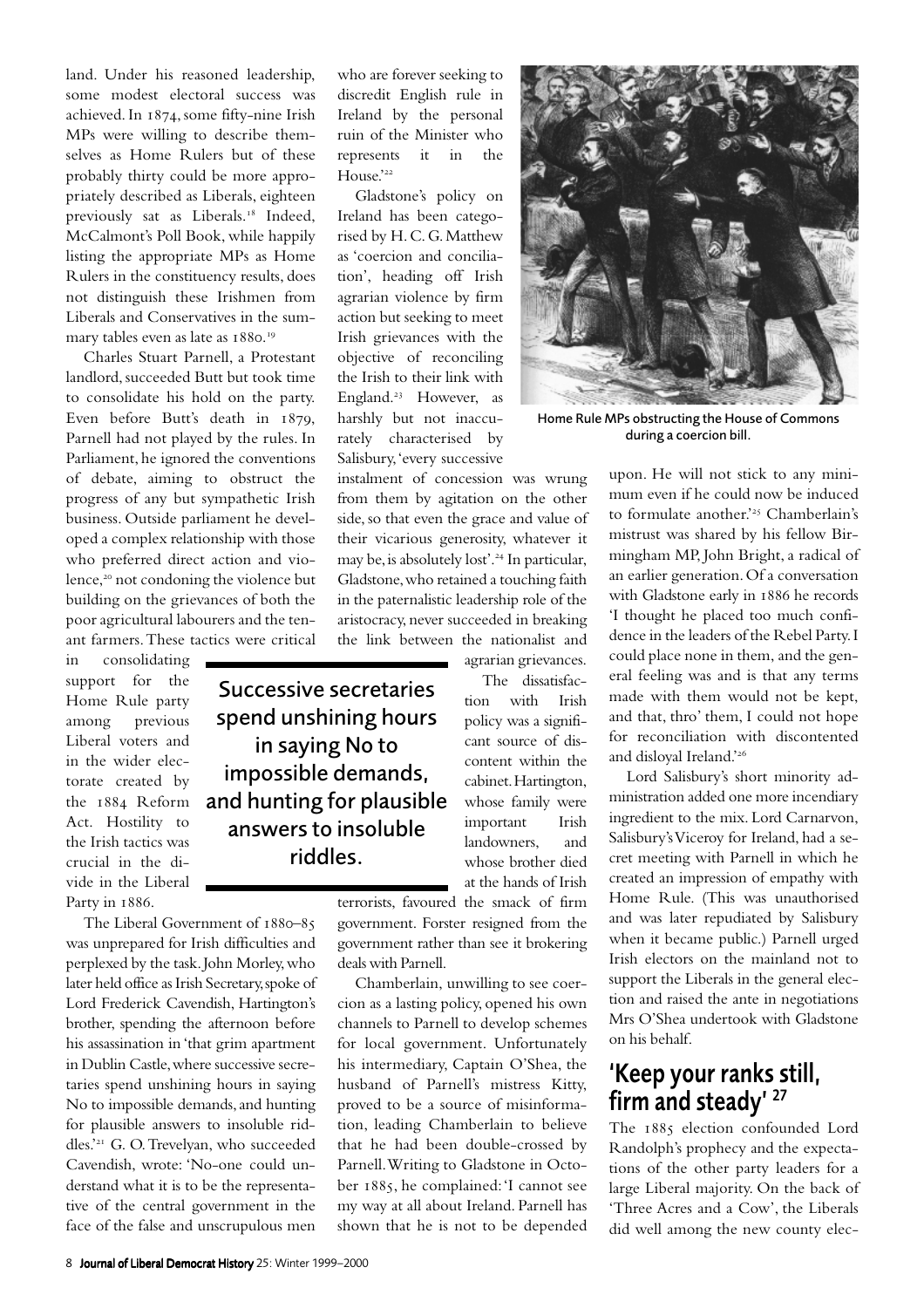land. Under his reasoned leadership, some modest electoral success was achieved. In 1874, some fifty-nine Irish MPs were willing to describe themselves as Home Rulers but of these probably thirty could be more appropriately described as Liberals, eighteen previously sat as Liberals.<sup>18</sup> Indeed, McCalmont's Poll Book, while happily listing the appropriate MPs as Home Rulers in the constituency results, does not distinguish these Irishmen from Liberals and Conservatives in the summary tables even as late as 1880.<sup>19</sup>

Charles Stuart Parnell, a Protestant landlord, succeeded Butt but took time to consolidate his hold on the party. Even before Butt's death in 1879, Parnell had not played by the rules. In Parliament, he ignored the conventions of debate, aiming to obstruct the progress of any but sympathetic Irish business. Outside parliament he developed a complex relationship with those who preferred direct action and violence,<sup>20</sup> not condoning the violence but building on the grievances of both the poor agricultural labourers and the tenant farmers. These tactics were critical

in consolidating support for the Home Rule party among previous Liberal voters and in the wider electorate created by the  $1884$  Reform Act. Hostility to the Irish tactics was crucial in the divide in the Liberal Party in 1886.

The Liberal Government of 1880-85 was unprepared for Irish difficulties and perplexed by the task. John Morley, who later held office as Irish Secretary, spoke of Lord Frederick Cavendish, Hartington's brother, spending the afternoon before his assassination in 'that grim apartment in Dublin Castle, where successive secretaries spend unshining hours in saying No to impossible demands, and hunting for plausible answers to insoluble riddles.'<sup>21</sup> G. O. Trevelyan, who succeeded Cavendish, wrote: 'No-one could understand what it is to be the representative of the central government in the face of the false and unscrupulous men

who are forever seeking to discredit English rule in Ireland by the personal ruin of the Minister who represents it in the House.'<sup>22</sup>

Gladstone's policy on Ireland has been categorised by H. C. G. Matthew as 'coercion and conciliation', heading off Irish agrarian violence by firm action but seeking to meet Irish grievances with the objective of reconciling the Irish to their link with England.<sup>23</sup> However, as harshly but not inaccurately characterised by Salisbury, 'every successive

instalment of concession was wrung from them by agitation on the other side, so that even the grace and value of their vicarious generosity, whatever it may be, is absolutely lost'.<sup>24</sup> In particular, Gladstone, who retained a touching faith in the paternalistic leadership role of the aristocracy, never succeeded in breaking the link between the nationalist and

Successive secretaries spend unshining hours in saying No to impossible demands, and hunting for plausible answers to insoluble riddles.

agrarian grievances.

The dissatisfaction with Irish policy was a significant source of discontent within the cabinet. Hartington, whose family were important Irish landowners, and whose brother died at the hands of Irish

terrorists, favoured the smack of firm government. Forster resigned from the government rather than see it brokering deals with Parnell.

Chamberlain, unwilling to see coercion as a lasting policy, opened his own channels to Parnell to develop schemes for local government. Unfortunately his intermediary, Captain O'Shea, the husband of Parnell's mistress Kitty, proved to be a source of misinformation, leading Chamberlain to believe that he had been double-crossed by Parnell. Writing to Gladstone in October 1885, he complained: 'I cannot see my way at all about Ireland. Parnell has shown that he is not to be depended



Home Rule MPs obstructing the House of Commons during a coercion bill.

upon. He will not stick to any minimum even if he could now be induced to formulate another.<sup>225</sup> Chamberlain's mistrust was shared by his fellow Birmingham MP, John Bright, a radical of an earlier generation. Of a conversation with Gladstone early in 1886 he records 'I thought he placed too much confidence in the leaders of the Rebel Party. I could place none in them, and the general feeling was and is that any terms made with them would not be kept, and that, thro' them, I could not hope for reconciliation with discontented and disloyal Ireland.'

Lord Salisbury's short minority administration added one more incendiary ingredient to the mix. Lord Carnarvon, Salisbury's Viceroy for Ireland, had a secret meeting with Parnell in which he created an impression of empathy with Home Rule. (This was unauthorised and was later repudiated by Salisbury when it became public.) Parnell urged Irish electors on the mainland not to support the Liberals in the general election and raised the ante in negotiations Mrs O'Shea undertook with Gladstone on his behalf.

#### 'Keep your ranks still, firm and steady' 27

The 1885 election confounded Lord Randolph's prophecy and the expectations of the other party leaders for a large Liberal majority. On the back of 'Three Acres and a Cow', the Liberals did well among the new county elec-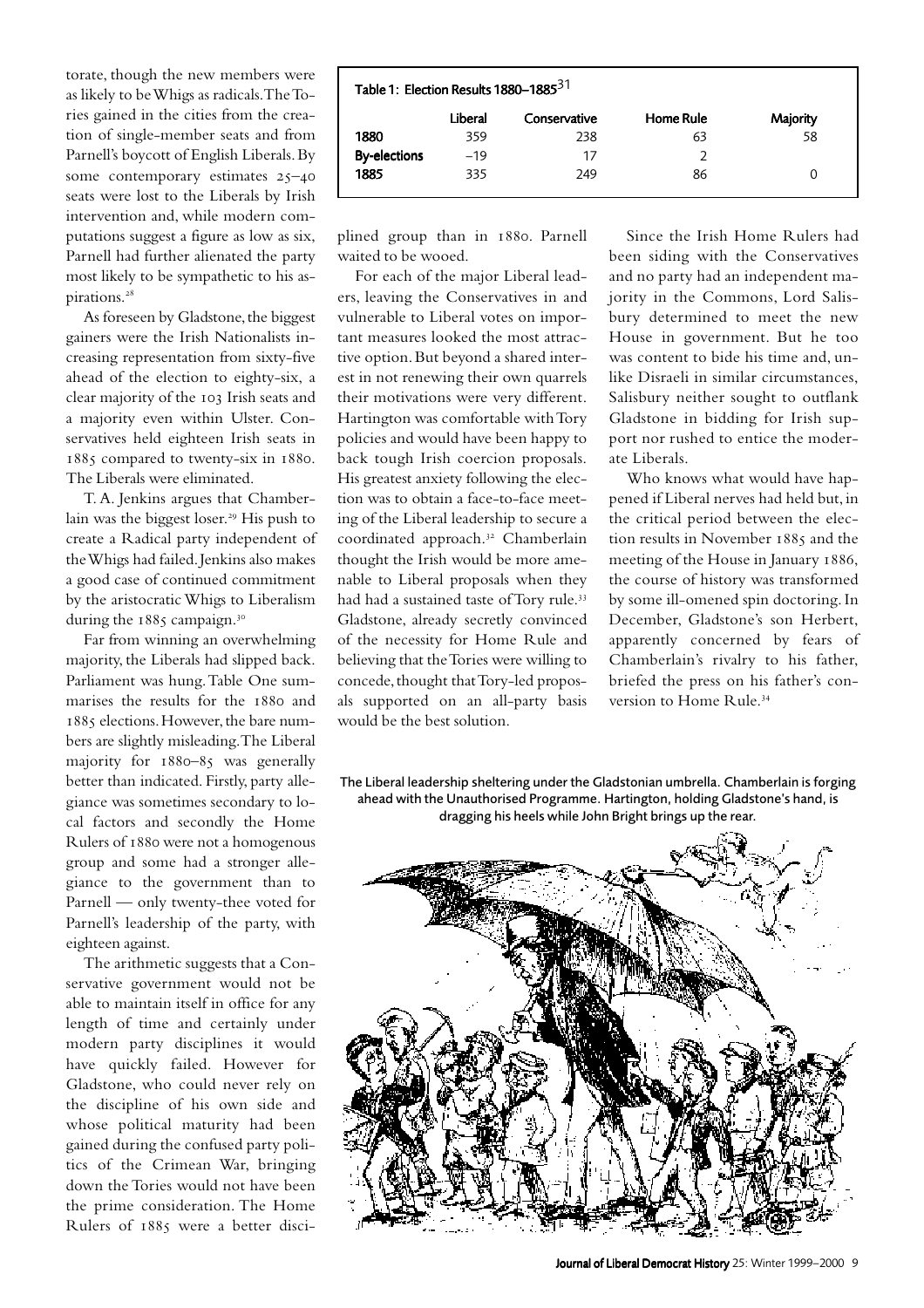torate, though the new members were as likely to be Whigs as radicals. The Tories gained in the cities from the creation of single-member seats and from Parnell's boycott of English Liberals. By some contemporary estimates  $25-40$ seats were lost to the Liberals by Irish intervention and, while modern computations suggest a figure as low as six, Parnell had further alienated the party most likely to be sympathetic to his aspirations.

As foreseen by Gladstone, the biggest gainers were the Irish Nationalists increasing representation from sixty-five ahead of the election to eighty-six, a clear majority of the 103 Irish seats and a majority even within Ulster. Conservatives held eighteen Irish seats in 1885 compared to twenty-six in 1880. The Liberals were eliminated.

T.A. Jenkins argues that Chamberlain was the biggest loser.<sup>29</sup> His push to create a Radical party independent of the Whigs had failed. Jenkins also makes a good case of continued commitment by the aristocratic Whigs to Liberalism during the 1885 campaign.<sup>30</sup>

Far from winning an overwhelming majority, the Liberals had slipped back. Parliament was hung. Table One summarises the results for the 1880 and 1885 elections. However, the bare numbers are slightly misleading. The Liberal majority for  $1880-85$  was generally better than indicated. Firstly, party allegiance was sometimes secondary to local factors and secondly the Home Rulers of 1880 were not a homogenous group and some had a stronger allegiance to the government than to Parnell — only twenty-thee voted for Parnell's leadership of the party, with eighteen against.

The arithmetic suggests that a Conservative government would not be able to maintain itself in office for any length of time and certainly under modern party disciplines it would have quickly failed. However for Gladstone, who could never rely on the discipline of his own side and whose political maturity had been gained during the confused party politics of the Crimean War, bringing down the Tories would not have been the prime consideration. The Home Rulers of 1885 were a better disci-

| Table 1: Election Results 1880-1885 <sup>31</sup> |         |              |           |          |  |  |  |
|---------------------------------------------------|---------|--------------|-----------|----------|--|--|--|
|                                                   | Liberal | Conservative | Home Rule | Majority |  |  |  |
| 1880                                              | 359     | 238          | 63        | 58       |  |  |  |
| <b>By-elections</b>                               | $-19$   | 17           |           |          |  |  |  |
| 1885                                              | 335     | 249          | 86        | 0        |  |  |  |

plined group than in 1880. Parnell waited to be wooed.

For each of the major Liberal leaders, leaving the Conservatives in and vulnerable to Liberal votes on important measures looked the most attractive option. But beyond a shared interest in not renewing their own quarrels their motivations were very different. Hartington was comfortable with Tory policies and would have been happy to back tough Irish coercion proposals. His greatest anxiety following the election was to obtain a face-to-face meeting of the Liberal leadership to secure a coordinated approach.<sup>32</sup> Chamberlain thought the Irish would be more amenable to Liberal proposals when they had had a sustained taste of Tory rule. Gladstone, already secretly convinced of the necessity for Home Rule and believing that the Tories were willing to concede, thought that Tory-led proposals supported on an all-party basis would be the best solution.

Since the Irish Home Rulers had been siding with the Conservatives and no party had an independent majority in the Commons, Lord Salisbury determined to meet the new House in government. But he too was content to bide his time and, unlike Disraeli in similar circumstances, Salisbury neither sought to outflank Gladstone in bidding for Irish support nor rushed to entice the moderate Liberals.

Who knows what would have happened if Liberal nerves had held but, in the critical period between the election results in November 1885 and the meeting of the House in January 1886, the course of history was transformed by some ill-omened spin doctoring. In December, Gladstone's son Herbert, apparently concerned by fears of Chamberlain's rivalry to his father, briefed the press on his father's conversion to Home Rule.

The Liberal leadership sheltering under the Gladstonian umbrella. Chamberlain is forging ahead with the Unauthorised Programme. Hartington, holding Gladstone's hand, is dragging his heels while John Bright brings up the rear.

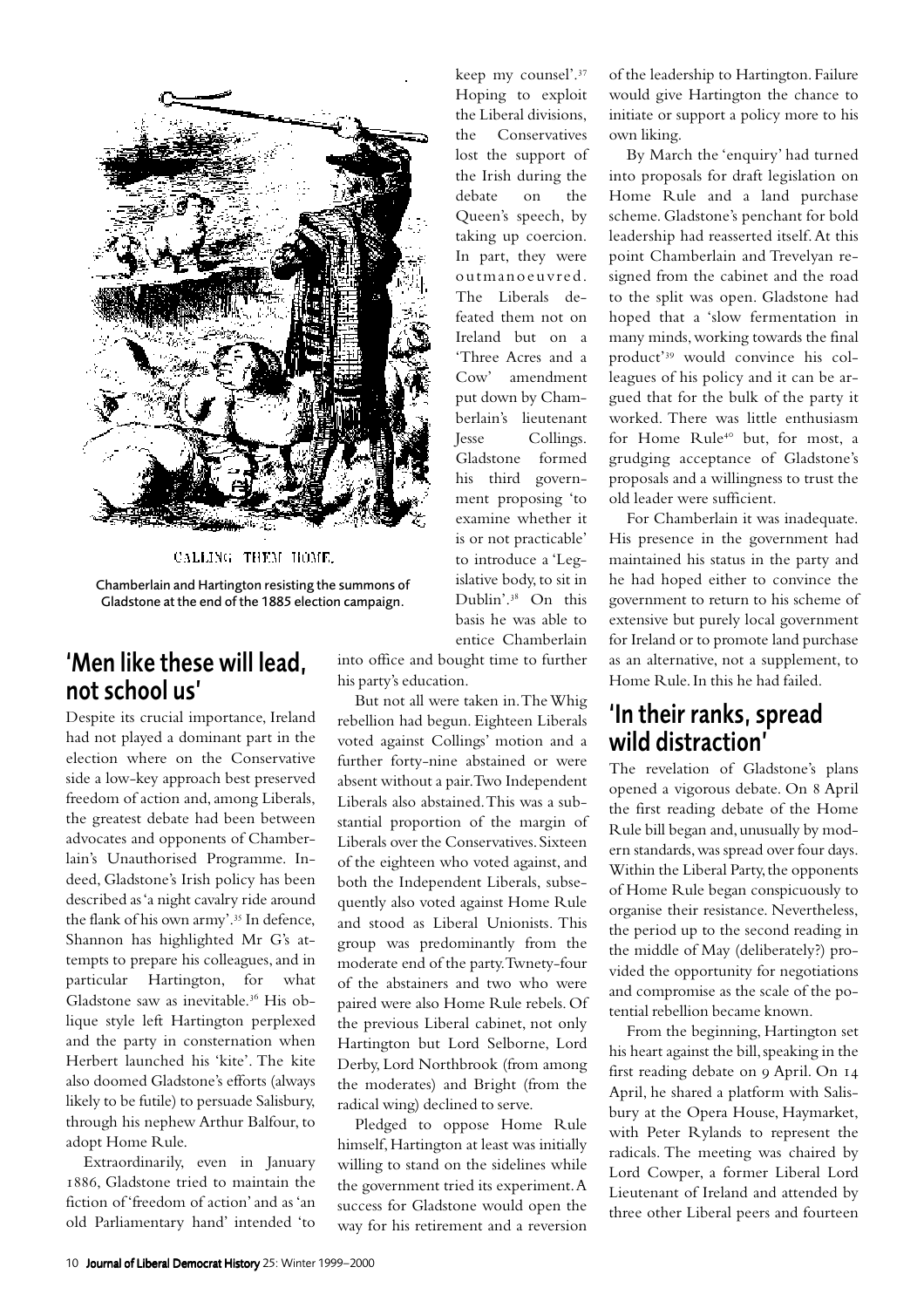

CALLING THEM HOME.

Chamberlain and Hartington resisting the summons of Gladstone at the end of the 1885 election campaign.

#### 'Men like these will lead, not school us'

Despite its crucial importance, Ireland had not played a dominant part in the election where on the Conservative side a low-key approach best preserved freedom of action and, among Liberals, the greatest debate had been between advocates and opponents of Chamberlain's Unauthorised Programme. Indeed, Gladstone's Irish policy has been described as 'a night cavalry ride around the flank of his own army'.<sup>35</sup> In defence, Shannon has highlighted Mr G's attempts to prepare his colleagues, and in particular Hartington, for what Gladstone saw as inevitable.<sup>36</sup> His oblique style left Hartington perplexed and the party in consternation when Herbert launched his 'kite'. The kite also doomed Gladstone's efforts (always likely to be futile) to persuade Salisbury, through his nephew Arthur Balfour, to adopt Home Rule.

Extraordinarily, even in January 1886. Gladstone tried to maintain the fiction of 'freedom of action' and as 'an old Parliamentary hand' intended 'to

keep my counsel'.<sup>37</sup> Hoping to exploit the Liberal divisions, the Conservatives lost the support of the Irish during the debate on the Queen's speech, by taking up coercion. In part, they were outmanoeuvred. The Liberals defeated them not on Ireland but on a 'Three Acres and a Cow' amendment put down by Chamberlain's lieutenant Jesse Collings. Gladstone formed his third government proposing 'to examine whether it is or not practicable' to introduce a 'Legislative body, to sit in Dublin'.<sup>38</sup> On this basis he was able to entice Chamberlain

into office and bought time to further his party's education.

But not all were taken in. The Whig rebellion had begun. Eighteen Liberals voted against Collings' motion and a further forty-nine abstained or were absent without a pair. Two Independent Liberals also abstained. This was a substantial proportion of the margin of Liberals over the Conservatives. Sixteen of the eighteen who voted against, and both the Independent Liberals, subsequently also voted against Home Rule and stood as Liberal Unionists. This group was predominantly from the moderate end of the party. Twnety-four of the abstainers and two who were paired were also Home Rule rebels. Of the previous Liberal cabinet, not only Hartington but Lord Selborne, Lord Derby, Lord Northbrook (from among the moderates) and Bright (from the radical wing) declined to serve.

Pledged to oppose Home Rule himself, Hartington at least was initially willing to stand on the sidelines while the government tried its experiment. A success for Gladstone would open the way for his retirement and a reversion of the leadership to Hartington. Failure would give Hartington the chance to initiate or support a policy more to his own liking.

By March the 'enquiry' had turned into proposals for draft legislation on Home Rule and a land purchase scheme. Gladstone's penchant for bold leadership had reasserted itself. At this point Chamberlain and Trevelyan resigned from the cabinet and the road to the split was open. Gladstone had hoped that a 'slow fermentation in many minds, working towards the final product'<sup>39</sup> would convince his colleagues of his policy and it can be argued that for the bulk of the party it worked. There was little enthusiasm for Home Rule<sup>40</sup> but, for most, a grudging acceptance of Gladstone's proposals and a willingness to trust the old leader were sufficient.

For Chamberlain it was inadequate. His presence in the government had maintained his status in the party and he had hoped either to convince the government to return to his scheme of extensive but purely local government for Ireland or to promote land purchase as an alternative, not a supplement, to Home Rule. In this he had failed.

#### 'In their ranks, spread wild distraction'

The revelation of Gladstone's plans opened a vigorous debate. On April the first reading debate of the Home Rule bill began and, unusually by modern standards, was spread over four days. Within the Liberal Party, the opponents of Home Rule began conspicuously to organise their resistance. Nevertheless, the period up to the second reading in the middle of May (deliberately?) provided the opportunity for negotiations and compromise as the scale of the potential rebellion became known.

From the beginning, Hartington set his heart against the bill, speaking in the first reading debate on 9 April. On 14 April, he shared a platform with Salisbury at the Opera House, Haymarket, with Peter Rylands to represent the radicals. The meeting was chaired by Lord Cowper, a former Liberal Lord Lieutenant of Ireland and attended by three other Liberal peers and fourteen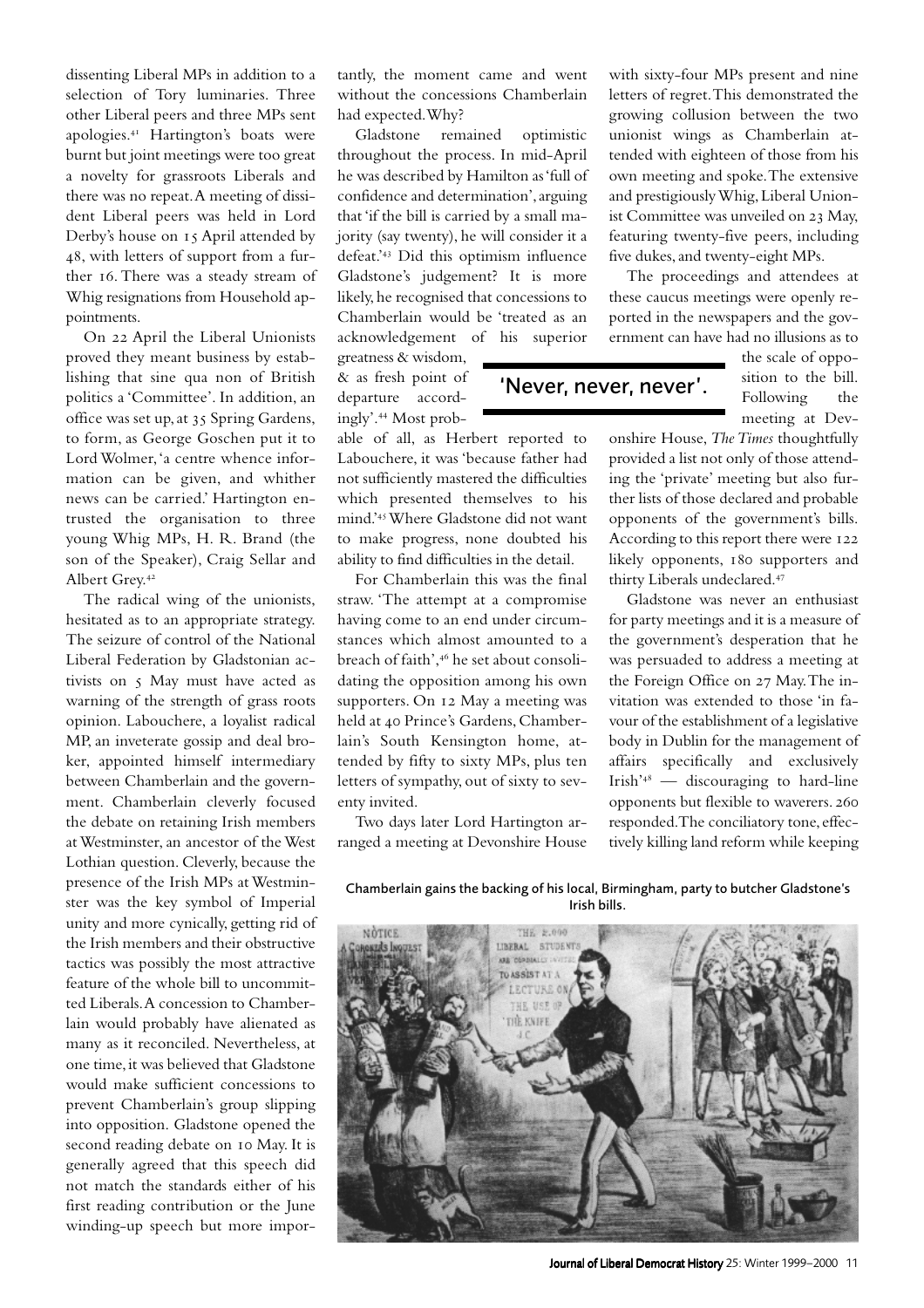dissenting Liberal MPs in addition to a selection of Tory luminaries. Three other Liberal peers and three MPs sent apologies.<sup>41</sup> Hartington's boats were burnt but joint meetings were too great a novelty for grassroots Liberals and there was no repeat. A meeting of dissident Liberal peers was held in Lord Derby's house on 15 April attended by , with letters of support from a further 16. There was a steady stream of Whig resignations from Household appointments.

On 22 April the Liberal Unionists proved they meant business by establishing that sine qua non of British politics a 'Committee'. In addition, an office was set up, at Spring Gardens, to form, as George Goschen put it to Lord Wolmer, 'a centre whence information can be given, and whither news can be carried.' Hartington entrusted the organisation to three young Whig MPs, H. R. Brand (the son of the Speaker), Craig Sellar and Albert Grey.

The radical wing of the unionists, hesitated as to an appropriate strategy. The seizure of control of the National Liberal Federation by Gladstonian activists on 5 May must have acted as warning of the strength of grass roots opinion. Labouchere, a loyalist radical MP, an inveterate gossip and deal broker, appointed himself intermediary between Chamberlain and the government. Chamberlain cleverly focused the debate on retaining Irish members at Westminster, an ancestor of the West Lothian question. Cleverly, because the presence of the Irish MPs at Westminster was the key symbol of Imperial unity and more cynically, getting rid of the Irish members and their obstructive tactics was possibly the most attractive feature of the whole bill to uncommitted Liberals. A concession to Chamberlain would probably have alienated as many as it reconciled. Nevertheless, at one time, it was believed that Gladstone would make sufficient concessions to prevent Chamberlain's group slipping into opposition. Gladstone opened the second reading debate on 10 May. It is generally agreed that this speech did not match the standards either of his first reading contribution or the June winding-up speech but more impor-

tantly, the moment came and went without the concessions Chamberlain had expected. Why?

Gladstone remained optimistic throughout the process. In mid-April he was described by Hamilton as 'full of confidence and determination', arguing that 'if the bill is carried by a small majority (say twenty), he will consider it a defeat.'<sup>43</sup> Did this optimism influence Gladstone's judgement? It is more likely, he recognised that concessions to Chamberlain would be 'treated as an acknowledgement of his superior

greatness & wisdom, & as fresh point of departure accordingly'. Most prob-

able of all, as Herbert reported to Labouchere, it was 'because father had not sufficiently mastered the difficulties which presented themselves to his mind.'Where Gladstone did not want to make progress, none doubted his ability to find difficulties in the detail.

For Chamberlain this was the final straw. 'The attempt at a compromise having come to an end under circumstances which almost amounted to a breach of faith',<sup>46</sup> he set about consolidating the opposition among his own supporters. On 12 May a meeting was held at 40 Prince's Gardens, Chamberlain's South Kensington home, attended by fifty to sixty MPs, plus ten letters of sympathy, out of sixty to seventy invited.

Two days later Lord Hartington arranged a meeting at Devonshire House with sixty-four MPs present and nine letters of regret. This demonstrated the growing collusion between the two unionist wings as Chamberlain attended with eighteen of those from his own meeting and spoke. The extensive and prestigiously Whig, Liberal Unionist Committee was unveiled on 23 May, featuring twenty-five peers, including five dukes, and twenty-eight MPs.

The proceedings and attendees at these caucus meetings were openly reported in the newspapers and the government can have had no illusions as to

'Never, never, never'.

the scale of opposition to the bill. Following the meeting at Dev-

onshire House, *The Times* thoughtfully provided a list not only of those attending the 'private' meeting but also further lists of those declared and probable opponents of the government's bills. According to this report there were 122 likely opponents, 180 supporters and thirty Liberals undeclared.

Gladstone was never an enthusiast for party meetings and it is a measure of the government's desperation that he was persuaded to address a meeting at the Foreign Office on 27 May. The invitation was extended to those 'in favour of the establishment of a legislative body in Dublin for the management of affairs specifically and exclusively  $Irish<sup>48</sup>$  — discouraging to hard-line opponents but flexible to waverers. responded. The conciliatory tone, effectively killing land reform while keeping

Chamberlain gains the backing of his local, Birmingham, party to butcher Gladstone's Irish bills.



Journal of Liberal Democrat History 25: Winter 1999–2000 11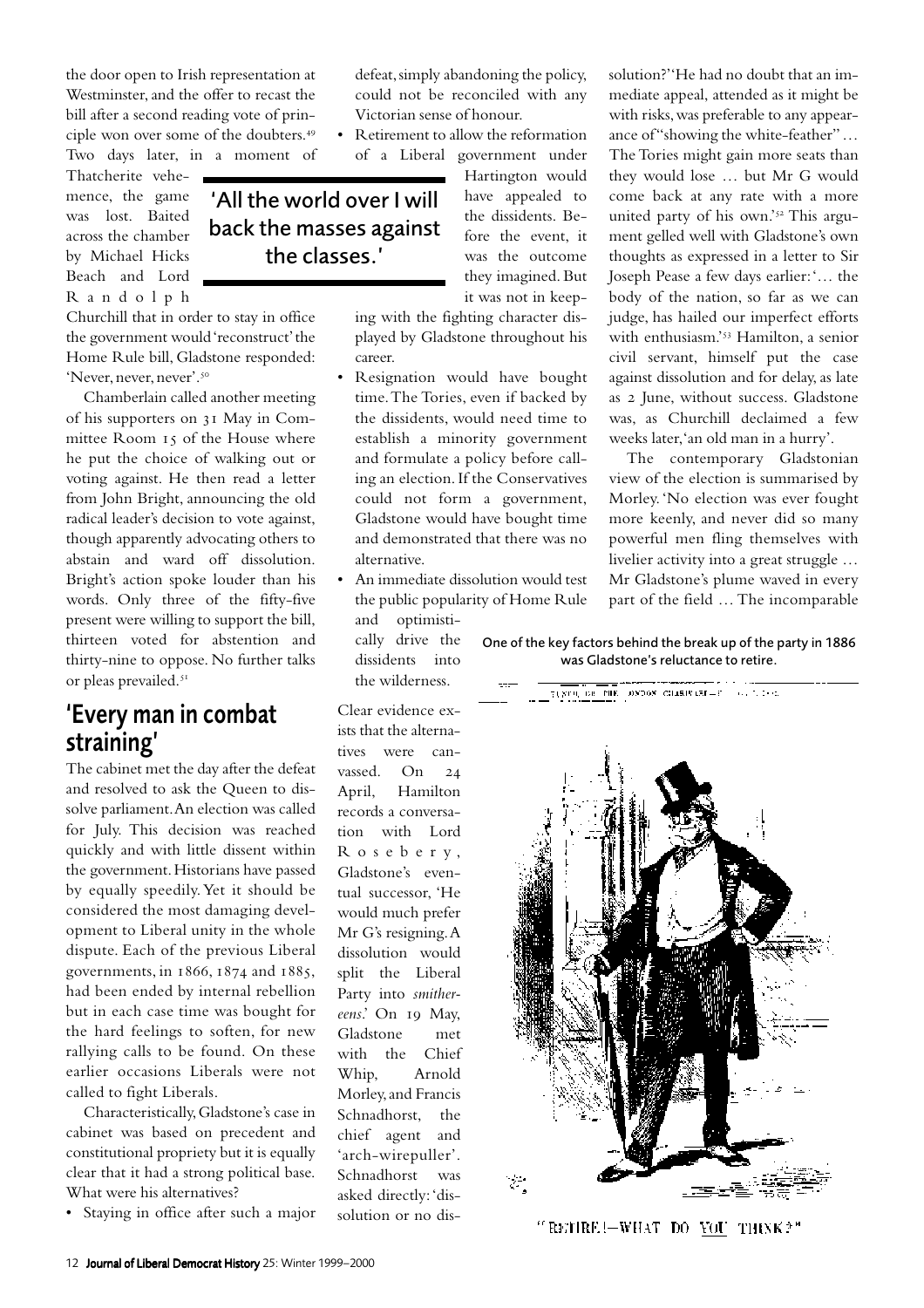the door open to Irish representation at Westminster, and the offer to recast the bill after a second reading vote of principle won over some of the doubters. Two days later, in a moment of

Thatcherite vehemence, the game was lost. Baited across the chamber by Michael Hicks Beach and Lord Randolph

Churchill that in order to stay in office the government would 'reconstruct' the Home Rule bill, Gladstone responded: 'Never, never, never'.

Chamberlain called another meeting of his supporters on 31 May in Committee Room 15 of the House where he put the choice of walking out or voting against. He then read a letter from John Bright, announcing the old radical leader's decision to vote against, though apparently advocating others to abstain and ward off dissolution. Bright's action spoke louder than his words. Only three of the fifty-five present were willing to support the bill, thirteen voted for abstention and thirty-nine to oppose. No further talks or pleas prevailed.

#### 'Every man in combat straining'

The cabinet met the day after the defeat and resolved to ask the Queen to dissolve parliament. An election was called for July. This decision was reached quickly and with little dissent within the government. Historians have passed by equally speedily. Yet it should be considered the most damaging development to Liberal unity in the whole dispute. Each of the previous Liberal governments, in  $1866$ ,  $1874$  and  $1885$ , had been ended by internal rebellion but in each case time was bought for the hard feelings to soften, for new rallying calls to be found. On these earlier occasions Liberals were not called to fight Liberals.

Characteristically, Gladstone's case in cabinet was based on precedent and constitutional propriety but it is equally clear that it had a strong political base. What were his alternatives?

• Staying in office after such a major

defeat, simply abandoning the policy, could not be reconciled with any Victorian sense of honour.

• Retirement to allow the reformation of a Liberal government under

'All the world over I will back the masses against the classes.'

Hartington would have appealed to the dissidents. Before the event, it was the outcome they imagined. But it was not in keep-

ing with the fighting character displayed by Gladstone throughout his career.

- Resignation would have bought time. The Tories, even if backed by the dissidents, would need time to establish a minority government and formulate a policy before calling an election. If the Conservatives could not form a government, Gladstone would have bought time and demonstrated that there was no alternative.
- An immediate dissolution would test the public popularity of Home Rule and optimisti
	- cally drive the dissidents into the wilderness.

Clear evidence exists that the alternatives were canvassed. On April, Hamilton records a conversation with Lord Roseber y, Gladstone's eventual successor, 'He would much prefer Mr G's resigning. A dissolution would split the Liberal Party into *smither*eens.' On 19 May, Gladstone met with the Chief Whip, Arnold Morley, and Francis Schnadhorst, the chief agent and 'arch-wirepuller'. Schnadhorst was asked directly: 'dissolution or no dis-

solution?' 'He had no doubt that an immediate appeal, attended as it might be with risks, was preferable to any appearance of "showing the white-feather" ... The Tories might gain more seats than they would lose … but Mr G would come back at any rate with a more united party of his own.'<sup>52</sup> This argument gelled well with Gladstone's own thoughts as expressed in a letter to Sir Joseph Pease a few days earlier: '… the body of the nation, so far as we can judge, has hailed our imperfect efforts with enthusiasm.'<sup>53</sup> Hamilton, a senior civil servant, himself put the case against dissolution and for delay, as late as 2 June, without success. Gladstone was, as Churchill declaimed a few weeks later, 'an old man in a hurry'.

The contemporary Gladstonian view of the election is summarised by Morley. 'No election was ever fought more keenly, and never did so many powerful men fling themselves with livelier activity into a great struggle … Mr Gladstone's plume waved in every part of the field … The incomparable

One of the key factors behind the break up of the party in 1886 was Gladstone's reluctance to retire.



"RETIRE!—WHAT DO <u>YOU</u> THINK?"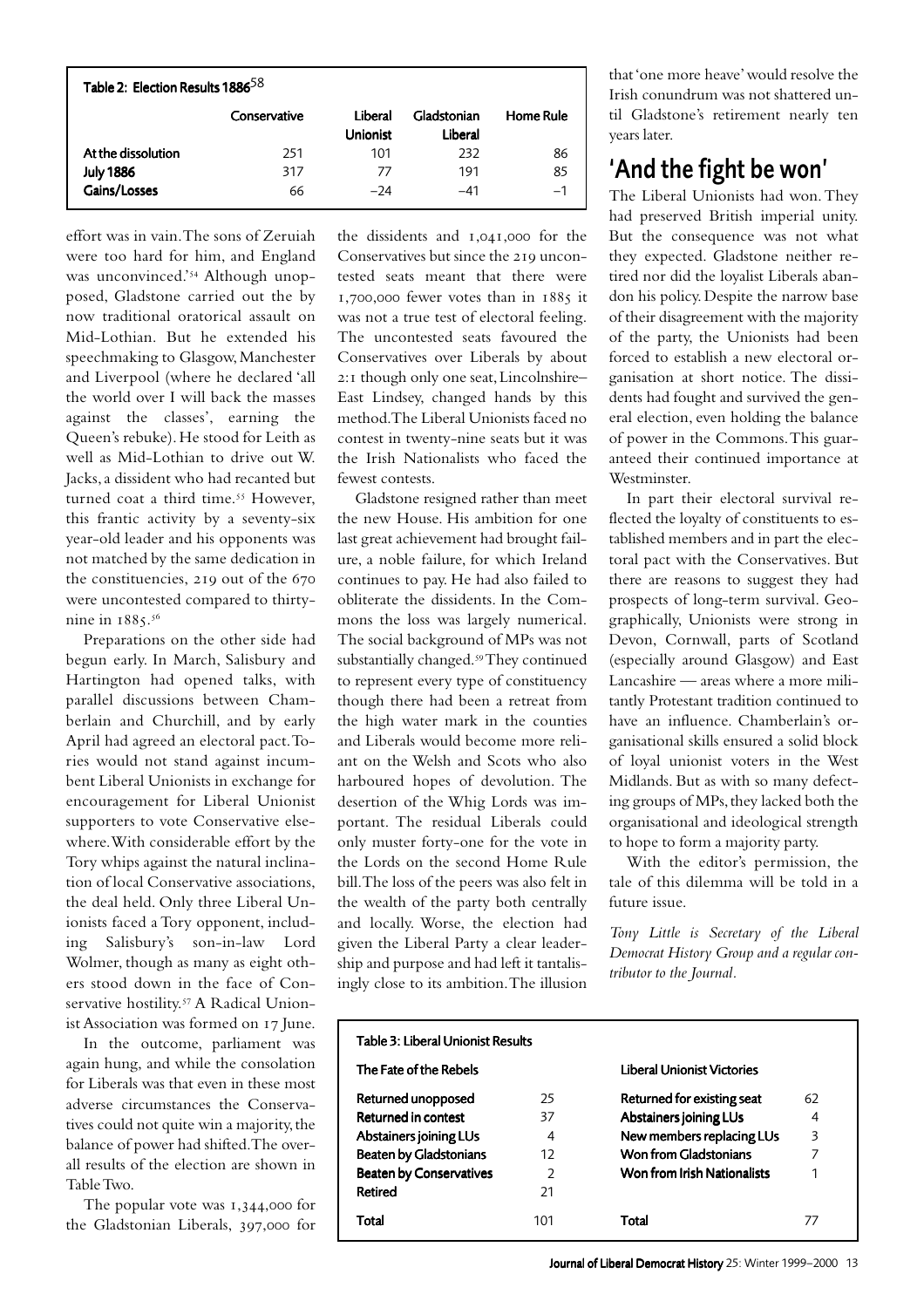| Table 2: Election Results 1886 <sup>58</sup> |              |                            |                        |                  |  |  |  |  |
|----------------------------------------------|--------------|----------------------------|------------------------|------------------|--|--|--|--|
|                                              | Conservative | Liberal<br><b>Unionist</b> | Gladstonian<br>Liberal | <b>Home Rule</b> |  |  |  |  |
| At the dissolution                           | 251          | 101                        | 232                    | 86               |  |  |  |  |
| <b>July 1886</b>                             | 317          | 77                         | 191                    | 85               |  |  |  |  |
| Gains/Losses                                 | 66           | $-24$                      | $-41$                  | $-1$             |  |  |  |  |

effort was in vain. The sons of Zeruiah were too hard for him, and England was unconvinced.'<sup>54</sup> Although unopposed, Gladstone carried out the by now traditional oratorical assault on Mid-Lothian. But he extended his speechmaking to Glasgow, Manchester and Liverpool (where he declared 'all the world over I will back the masses against the classes', earning the Queen's rebuke). He stood for Leith as well as Mid-Lothian to drive out W. Jacks, a dissident who had recanted but turned coat a third time.<sup>55</sup> However, this frantic activity by a seventy-six year-old leader and his opponents was not matched by the same dedication in the constituencies,  $219$  out of the  $670$ were uncontested compared to thirtynine in  $1885.^{56}$ 

Preparations on the other side had begun early. In March, Salisbury and Hartington had opened talks, with parallel discussions between Chamberlain and Churchill, and by early April had agreed an electoral pact. Tories would not stand against incumbent Liberal Unionists in exchange for encouragement for Liberal Unionist supporters to vote Conservative elsewhere. With considerable effort by the Tory whips against the natural inclination of local Conservative associations, the deal held. Only three Liberal Unionists faced a Tory opponent, including Salisbury's son-in-law Lord Wolmer, though as many as eight others stood down in the face of Conservative hostility.<sup>57</sup> A Radical Unionist Association was formed on 17 June.

In the outcome, parliament was again hung, and while the consolation for Liberals was that even in these most adverse circumstances the Conservatives could not quite win a majority, the balance of power had shifted. The overall results of the election are shown in Table Two.

The popular vote was  $1,344,000$  for the Gladstonian Liberals, 397,000 for

the dissidents and  $1,041,000$  for the Conservatives but since the 210 uncontested seats meant that there were  $1,700,000$  fewer votes than in  $1885$  it was not a true test of electoral feeling. The uncontested seats favoured the Conservatives over Liberals by about 2:1 though only one seat, Lincolnshire-East Lindsey, changed hands by this method. The Liberal Unionists faced no contest in twenty-nine seats but it was the Irish Nationalists who faced the fewest contests.

Gladstone resigned rather than meet the new House. His ambition for one last great achievement had brought failure, a noble failure, for which Ireland continues to pay. He had also failed to obliterate the dissidents. In the Commons the loss was largely numerical. The social background of MPs was not substantially changed.<sup>59</sup>They continued to represent every type of constituency though there had been a retreat from the high water mark in the counties and Liberals would become more reliant on the Welsh and Scots who also harboured hopes of devolution. The desertion of the Whig Lords was important. The residual Liberals could only muster forty-one for the vote in the Lords on the second Home Rule bill. The loss of the peers was also felt in the wealth of the party both centrally and locally. Worse, the election had given the Liberal Party a clear leadership and purpose and had left it tantalisingly close to its ambition. The illusion that 'one more heave' would resolve the Irish conundrum was not shattered until Gladstone's retirement nearly ten years later.

#### 'And the fight be won'

The Liberal Unionists had won. They had preserved British imperial unity. But the consequence was not what they expected. Gladstone neither retired nor did the loyalist Liberals abandon his policy. Despite the narrow base of their disagreement with the majority of the party, the Unionists had been forced to establish a new electoral organisation at short notice. The dissidents had fought and survived the general election, even holding the balance of power in the Commons. This guaranteed their continued importance at Westminster.

In part their electoral survival reflected the loyalty of constituents to established members and in part the electoral pact with the Conservatives. But there are reasons to suggest they had prospects of long-term survival. Geographically, Unionists were strong in Devon, Cornwall, parts of Scotland (especially around Glasgow) and East Lancashire — areas where a more militantly Protestant tradition continued to have an influence. Chamberlain's organisational skills ensured a solid block of loyal unionist voters in the West Midlands. But as with so many defecting groups of MPs, they lacked both the organisational and ideological strength to hope to form a majority party.

With the editor's permission, the tale of this dilemma will be told in a future issue.

*Tony Little is Secretary of the Liberal Democrat History Group and a regular contributor to the Journal.*

| Table 3: Liberal Unionist Results |               |                                    |    |  |  |  |  |
|-----------------------------------|---------------|------------------------------------|----|--|--|--|--|
| The Fate of the Rebels            |               | <b>Liberal Unionist Victories</b>  |    |  |  |  |  |
| Returned unopposed                | 25            | Returned for existing seat         | 62 |  |  |  |  |
| <b>Returned in contest</b>        | 37            | Abstainers joining LUs             | 4  |  |  |  |  |
| <b>Abstainers joining LUs</b>     | 4             | New members replacing LUs          | 3  |  |  |  |  |
| <b>Beaten by Gladstonians</b>     | 12            | <b>Won from Gladstonians</b>       | 7  |  |  |  |  |
| <b>Beaten by Conservatives</b>    | $\mathcal{P}$ | <b>Won from Irish Nationalists</b> |    |  |  |  |  |
| <b>Retired</b>                    | 21            |                                    |    |  |  |  |  |
| Total                             | 101           | Total                              | 77 |  |  |  |  |